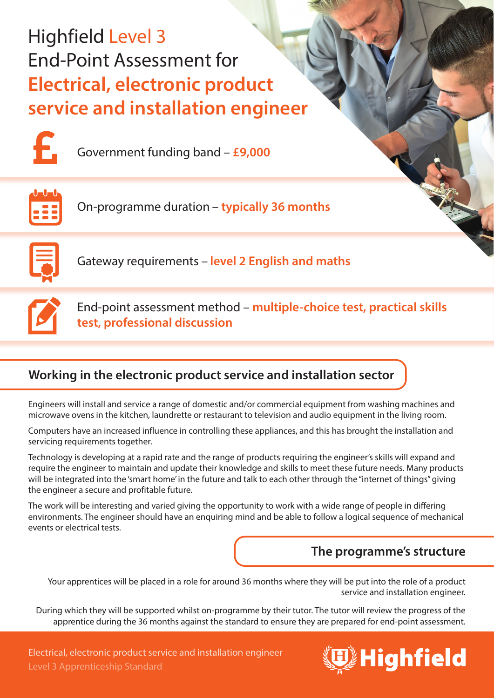# Highfield Level 3 End-Point Assessment for **Electrical, electronic product service and installation engineer**



Government funding band – **£9,000**



On-programme duration – **typically 36 months**



Gateway requirements – **level 2 English and maths**



End-point assessment method – **multiple-choice test, practical skills test, professional discussion**

# **Working in the electronic product service and installation sector**

Engineers will install and service a range of domestic and/or commercial equipment from washing machines and microwave ovens in the kitchen, laundrette or restaurant to television and audio equipment in the living room.

Computers have an increased influence in controlling these appliances, and this has brought the installation and servicing requirements together.

Technology is developing at a rapid rate and the range of products requiring the engineer's skills will expand and require the engineer to maintain and update their knowledge and skills to meet these future needs. Many products will be integrated into the 'smart home' in the future and talk to each other through the "internet of things" giving the engineer a secure and profitable future.

The work will be interesting and varied giving the opportunity to work with a wide range of people in differing environments. The engineer should have an enquiring mind and be able to follow a logical sequence of mechanical events or electrical tests.

# **The programme's structure**

Your apprentices will be placed in a role for around 36 months where they will be put into the role of a product service and installation engineer.

During which they will be supported whilst on-programme by their tutor. The tutor will review the progress of the apprentice during the 36 months against the standard to ensure they are prepared for end-point assessment.